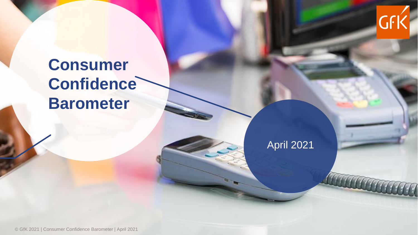

## **Consumer Confidence Barometer**

April 2021

© GfK 2021 | Consumer Confidence Barometer | April 2021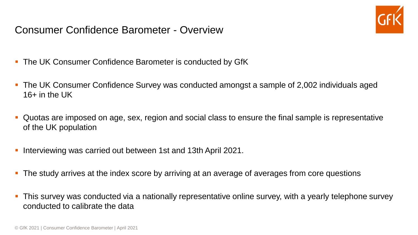Consumer Confidence Barometer - Overview



- **.** The UK Consumer Confidence Barometer is conducted by GfK
- The UK Consumer Confidence Survey was conducted amongst a sample of 2,002 individuals aged  $16+$  in the UK
- Quotas are imposed on age, sex, region and social class to ensure the final sample is representative of the UK population
- Interviewing was carried out between 1st and 13th April 2021.
- **The study arrives at the index score by arriving at an average of averages from core questions**
- **•** This survey was conducted via a nationally representative online survey, with a yearly telephone survey conducted to calibrate the data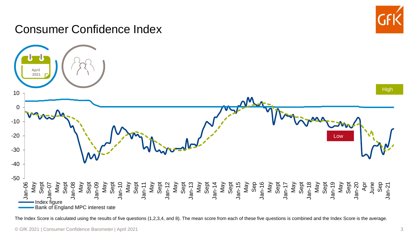

## Consumer Confidence Index



The Index Score is calculated using the results of five questions (1,2,3,4, and 8). The mean score from each of these five questions is combined and the Index Score is the average.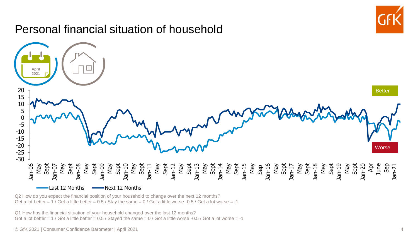

Q2 How do you expect the financial position of your household to change over the next 12 months? Get a lot better =  $1$  / Get a little better = 0.5 / Stay the same =  $0$  / Get a little worse -0.5 / Get a lot worse = -1

Q1 How has the financial situation of your household changed over the last 12 months? Got a lot better = 1 / Got a little better =  $0.5$  / Stayed the same =  $0$  / Got a little worse -0.5 / Got a lot worse = -1

© GfK 2021 | Consumer Confidence Barometer | April 2021 4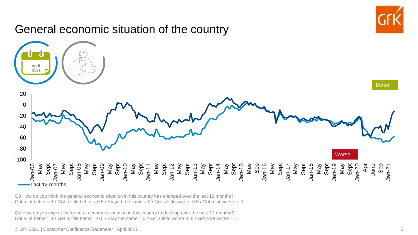

Q3 How do you think the general economic situation in this country has changed over the last 12 months? Got a lot better =  $1$  / Got a little better =  $0.5$  / Stayed the same =  $0$  / Got a little worse -0.5 / Got a lot worse = -1

Q4 How do you expect the general economic situation in this country to develop over the next 12 months? Get a lot better =  $1$  / Get a little better = 0.5 / Stay the same =  $0$  / Get a little worse -0.5 / Get a lot worse = -1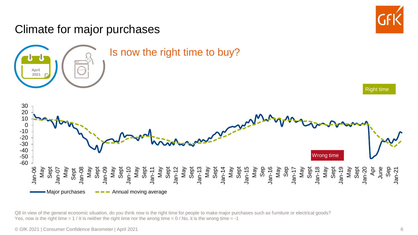

Q8 In view of the general economic situation, do you think now is the right time for people to make major purchases such as furniture or electrical goods? Yes, now is the right time  $= 1$  / It is neither the right time nor the wrong time  $= 0$  / No, it is the wrong time  $= -1$